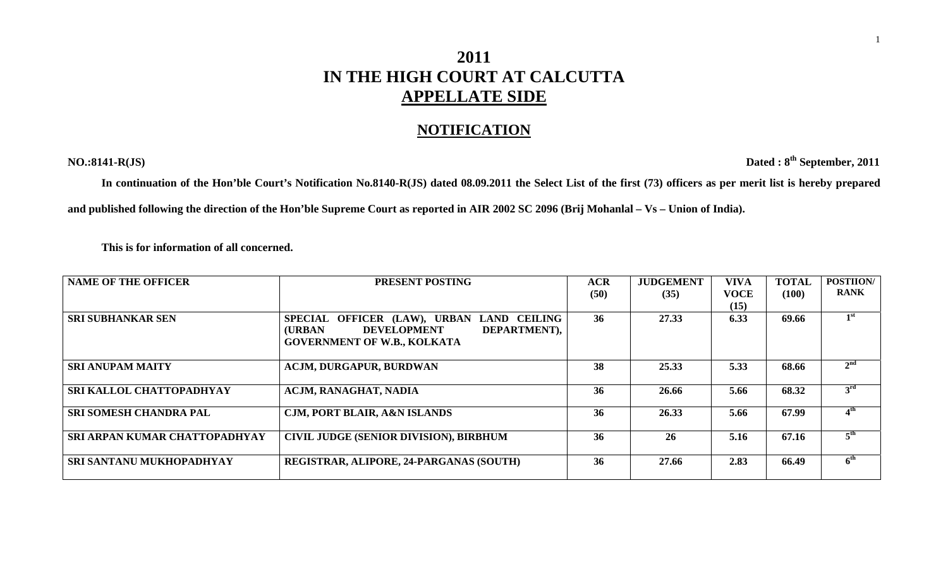## **2011 IN THE HIGH COURT AT CALCUTTA APPELLATE SIDE**

## **NOTIFICATION**

**NO.:8141-R(JS) Dated : 8th September, 2011** 

**In continuation of the Hon'ble Court's Notification No.8140-R(JS) dated 08.09.2011 the Select List of the first (73) officers as per merit list is hereby prepared and published following the direction of the Hon'ble Supreme Court as reported in AIR 2002 SC 2096 (Brij Mohanlal – Vs – Union of India).** 

 **This is for information of all concerned.** 

| <b>NAME OF THE OFFICER</b>      | PRESENT POSTING                                      | <b>ACR</b> | <b>JUDGEMENT</b> | <b>VIVA</b> | <b>TOTAL</b> | <b>POSTIION/</b> |
|---------------------------------|------------------------------------------------------|------------|------------------|-------------|--------------|------------------|
|                                 |                                                      | (50)       | (35)             | <b>VOCE</b> | (100)        | <b>RANK</b>      |
|                                 |                                                      |            |                  | (15)        |              |                  |
| <b>SRI SUBHANKAR SEN</b>        | SPECIAL OFFICER (LAW), URBAN LAND CEILING            | 36         | 27.33            | 6.33        | 69.66        | 1 <sup>st</sup>  |
|                                 | DEPARTMENT),<br><b>(URBAN)</b><br><b>DEVELOPMENT</b> |            |                  |             |              |                  |
|                                 | <b>GOVERNMENT OF W.B., KOLKATA</b>                   |            |                  |             |              |                  |
|                                 |                                                      |            |                  |             |              |                  |
| <b>SRI ANUPAM MAITY</b>         | <b>ACJM, DURGAPUR, BURDWAN</b>                       | 38         | 25.33            | 5.33        | 68.66        | 2 <sup>nd</sup>  |
|                                 |                                                      |            |                  |             |              |                  |
| SRI KALLOL CHATTOPADHYAY        | ACJM, RANAGHAT, NADIA                                | 36         | 26.66            | 5.66        | 68.32        | 3 <sup>rd</sup>  |
|                                 |                                                      |            |                  |             |              |                  |
| <b>SRI SOMESH CHANDRA PAL</b>   | <b>CJM, PORT BLAIR, A&amp;N ISLANDS</b>              | 36         | 26.33            | 5.66        | 67.99        | 4 <sup>th</sup>  |
|                                 |                                                      |            |                  |             |              |                  |
| SRI ARPAN KUMAR CHATTOPADHYAY   | <b>CIVIL JUDGE (SENIOR DIVISION), BIRBHUM</b>        | 36         | 26               | 5.16        | 67.16        | 5 <sup>th</sup>  |
|                                 |                                                      |            |                  |             |              |                  |
| <b>SRI SANTANU MUKHOPADHYAY</b> | REGISTRAR, ALIPORE, 24-PARGANAS (SOUTH)              | 36         | 27.66            | 2.83        | 66.49        | 6 <sup>th</sup>  |
|                                 |                                                      |            |                  |             |              |                  |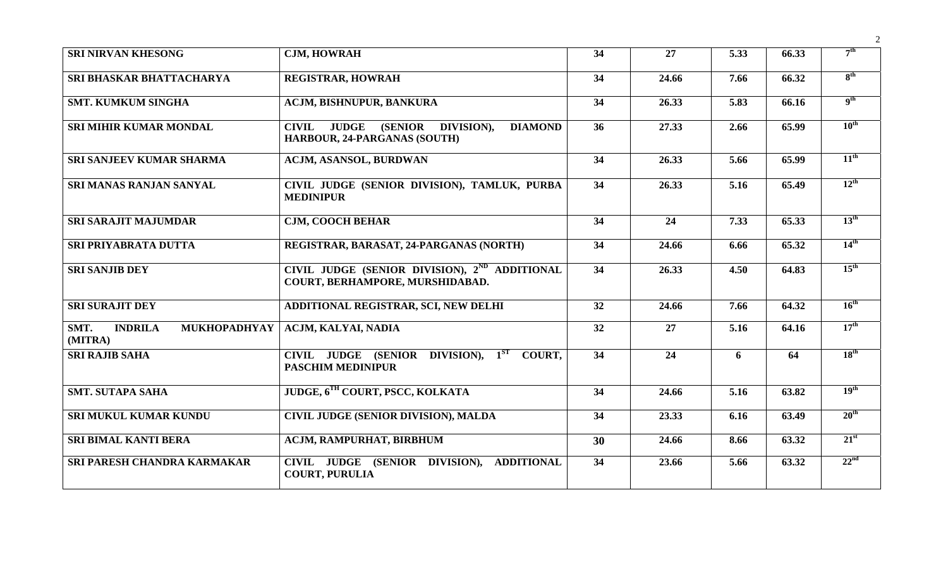| <b>SRI NIRVAN KHESONG</b>                         | <b>CJM, HOWRAH</b>                                                                                                     | 34              | 27    | 5.33 | 66.33 | 7 <sup>th</sup>  |
|---------------------------------------------------|------------------------------------------------------------------------------------------------------------------------|-----------------|-------|------|-------|------------------|
| <b>SRI BHASKAR BHATTACHARYA</b>                   | <b>REGISTRAR, HOWRAH</b>                                                                                               | 34              | 24.66 | 7.66 | 66.32 | 8 <sup>th</sup>  |
| <b>SMT. KUMKUM SINGHA</b>                         | ACJM, BISHNUPUR, BANKURA                                                                                               | $\overline{34}$ | 26.33 | 5.83 | 66.16 | 9 <sup>th</sup>  |
| <b>SRI MIHIR KUMAR MONDAL</b>                     | <b>JUDGE</b><br><b>(SENIOR)</b><br>DIVISION),<br><b>CIVIL</b><br><b>DIAMOND</b><br><b>HARBOUR, 24-PARGANAS (SOUTH)</b> | 36              | 27.33 | 2.66 | 65.99 | $10^{\text{th}}$ |
| <b>SRI SANJEEV KUMAR SHARMA</b>                   | ACJM, ASANSOL, BURDWAN                                                                                                 | 34              | 26.33 | 5.66 | 65.99 | $11^{\text{th}}$ |
| <b>SRI MANAS RANJAN SANYAL</b>                    | CIVIL JUDGE (SENIOR DIVISION), TAMLUK, PURBA<br><b>MEDINIPUR</b>                                                       | 34              | 26.33 | 5.16 | 65.49 | $12^{\text{th}}$ |
| <b>SRI SARAJIT MAJUMDAR</b>                       | <b>CJM, COOCH BEHAR</b>                                                                                                | 34              | 24    | 7.33 | 65.33 | $13^{\text{th}}$ |
| <b>SRI PRIYABRATA DUTTA</b>                       | REGISTRAR, BARASAT, 24-PARGANAS (NORTH)                                                                                | 34              | 24.66 | 6.66 | 65.32 | $14^{\text{th}}$ |
| <b>SRI SANJIB DEY</b>                             | CIVIL JUDGE (SENIOR DIVISION), 2 <sup>ND</sup> ADDITIONAL<br>COURT, BERHAMPORE, MURSHIDABAD.                           | 34              | 26.33 | 4.50 | 64.83 | $15^{\text{th}}$ |
| <b>SRI SURAJIT DEY</b>                            | ADDITIONAL REGISTRAR, SCI, NEW DELHI                                                                                   | 32              | 24.66 | 7.66 | 64.32 | $16^{\text{th}}$ |
| SMT.<br><b>INDRILA</b><br>MUKHOPADHYAY<br>(MITRA) | ACJM, KALYAI, NADIA                                                                                                    | 32              | 27    | 5.16 | 64.16 | $17^{\text{th}}$ |
| <b>SRI RAJIB SAHA</b>                             | CIVIL JUDGE (SENIOR DIVISION), 1 <sup>ST</sup> COURT,<br><b>PASCHIM MEDINIPUR</b>                                      | 34              | 24    | 6    | 64    | $18^{\text{th}}$ |
| <b>SMT. SUTAPA SAHA</b>                           | JUDGE, 6TH COURT, PSCC, KOLKATA                                                                                        | 34              | 24.66 | 5.16 | 63.82 | 19 <sup>th</sup> |
| SRI MUKUL KUMAR KUNDU                             | <b>CIVIL JUDGE (SENIOR DIVISION), MALDA</b>                                                                            | 34              | 23.33 | 6.16 | 63.49 | $20^{\text{th}}$ |
| <b>SRI BIMAL KANTI BERA</b>                       | ACJM, RAMPURHAT, BIRBHUM                                                                                               | 30              | 24.66 | 8.66 | 63.32 | $21^{st}$        |
| SRI PARESH CHANDRA KARMAKAR                       | CIVIL JUDGE (SENIOR DIVISION), ADDITIONAL<br><b>COURT, PURULIA</b>                                                     | 34              | 23.66 | 5.66 | 63.32 | 22 <sup>nd</sup> |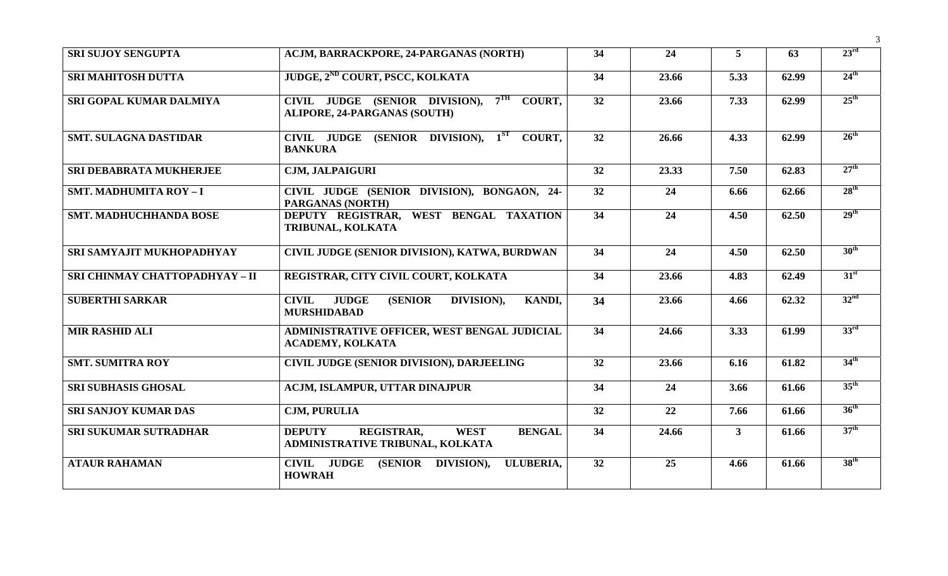| <b>SRI SUJOY SENGUPTA</b>      | ACJM, BARRACKPORE, 24-PARGANAS (NORTH)                                                                 | 34 | 24    | 5 <sup>5</sup> | 63    | 23 <sup>rd</sup> |
|--------------------------------|--------------------------------------------------------------------------------------------------------|----|-------|----------------|-------|------------------|
| <b>SRI MAHITOSH DUTTA</b>      | JUDGE, 2 <sup>ND</sup> COURT, PSCC, KOLKATA                                                            | 34 | 23.66 | 5.33           | 62.99 | $24^{\text{th}}$ |
| SRI GOPAL KUMAR DALMIYA        | CIVIL JUDGE (SENIOR DIVISION), 7TH<br><b>COURT.</b><br><b>ALIPORE, 24-PARGANAS (SOUTH)</b>             | 32 | 23.66 | 7.33           | 62.99 | $25^{\text{th}}$ |
| <b>SMT. SULAGNA DASTIDAR</b>   | CIVIL JUDGE (SENIOR DIVISION), 1ST COURT,<br><b>BANKURA</b>                                            | 32 | 26.66 | 4.33           | 62.99 | $26^{\text{th}}$ |
| SRI DEBABRATA MUKHERJEE        | <b>CJM, JALPAIGURI</b>                                                                                 | 32 | 23.33 | 7.50           | 62.83 | 27 <sup>th</sup> |
| <b>SMT. MADHUMITA ROY-I</b>    | CIVIL JUDGE (SENIOR DIVISION), BONGAON, 24-<br>PARGANAS (NORTH)                                        | 32 | 24    | 6.66           | 62.66 | 28 <sup>th</sup> |
| <b>SMT. MADHUCHHANDA BOSE</b>  | DEPUTY REGISTRAR, WEST BENGAL TAXATION<br>TRIBUNAL, KOLKATA                                            | 34 | 24    | 4.50           | 62.50 | 29 <sup>th</sup> |
| SRI SAMYAJIT MUKHOPADHYAY      | CIVIL JUDGE (SENIOR DIVISION), KATWA, BURDWAN                                                          | 34 | 24    | 4.50           | 62.50 | 30 <sup>th</sup> |
| SRI CHINMAY CHATTOPADHYAY - II | REGISTRAR, CITY CIVIL COURT, KOLKATA                                                                   | 34 | 23.66 | 4.83           | 62.49 | 31 <sup>st</sup> |
| <b>SUBERTHI SARKAR</b>         | <b>JUDGE</b><br><b>CIVIL</b><br><b>(SENIOR)</b><br>DIVISION),<br><b>KANDI,</b><br><b>MURSHIDABAD</b>   | 34 | 23.66 | 4.66           | 62.32 | 32 <sup>nd</sup> |
| <b>MIR RASHID ALI</b>          | ADMINISTRATIVE OFFICER, WEST BENGAL JUDICIAL<br><b>ACADEMY, KOLKATA</b>                                | 34 | 24.66 | 3.33           | 61.99 | 33 <sup>rd</sup> |
| <b>SMT. SUMITRA ROY</b>        | <b>CIVIL JUDGE (SENIOR DIVISION), DARJEELING</b>                                                       | 32 | 23.66 | 6.16           | 61.82 | 34 <sup>th</sup> |
| <b>SRI SUBHASIS GHOSAL</b>     | ACJM, ISLAMPUR, UTTAR DINAJPUR                                                                         | 34 | 24    | 3.66           | 61.66 | $35^{\text{th}}$ |
| <b>SRI SANJOY KUMAR DAS</b>    | <b>CJM, PURULIA</b>                                                                                    | 32 | 22    | 7.66           | 61.66 | 36 <sup>th</sup> |
| <b>SRI SUKUMAR SUTRADHAR</b>   | <b>REGISTRAR.</b><br><b>WEST</b><br><b>DEPUTY</b><br><b>BENGAL</b><br>ADMINISTRATIVE TRIBUNAL, KOLKATA | 34 | 24.66 | 3 <sup>1</sup> | 61.66 | 37 <sup>th</sup> |
| <b>ATAUR RAHAMAN</b>           | <b>CIVIL JUDGE</b><br>(SENIOR DIVISION),<br><b>ULUBERIA,</b><br><b>HOWRAH</b>                          | 32 | 25    | 4.66           | 61.66 | 38 <sup>th</sup> |

3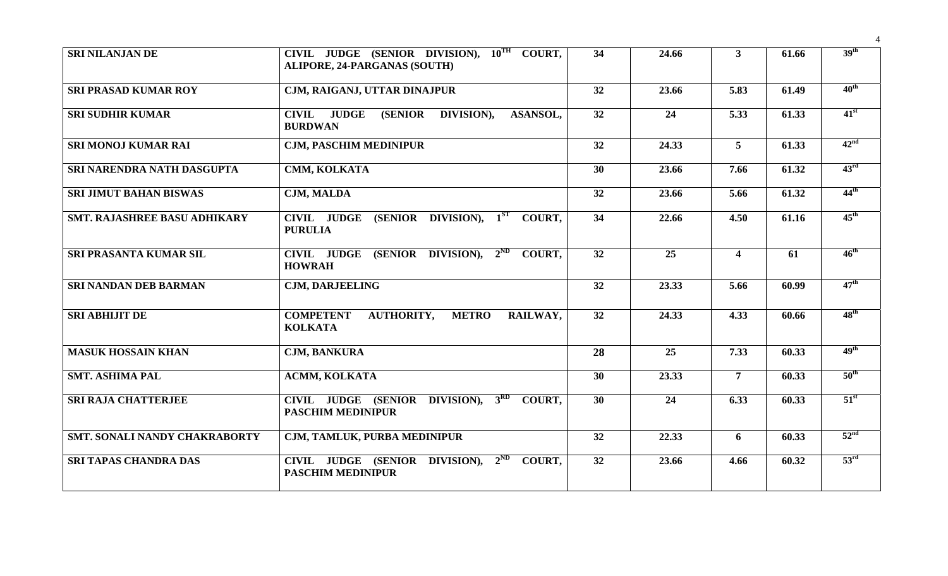| <b>SRI NILANJAN DE</b>              | CIVIL JUDGE (SENIOR DIVISION), $10^{TH}$ COURT,<br><b>ALIPORE, 24-PARGANAS (SOUTH)</b>         | 34              | 24.66 | 3 <sup>1</sup>          | 61.66 | 39 <sup>th</sup> |
|-------------------------------------|------------------------------------------------------------------------------------------------|-----------------|-------|-------------------------|-------|------------------|
| <b>SRI PRASAD KUMAR ROY</b>         | CJM, RAIGANJ, UTTAR DINAJPUR                                                                   | 32              | 23.66 | 5.83                    | 61.49 | $40^{\text{th}}$ |
| <b>SRI SUDHIR KUMAR</b>             | <b>JUDGE</b><br><b>CIVIL</b><br><b>(SENIOR)</b><br>DIVISION),<br>ASANSOL,<br><b>BURDWAN</b>    | 32              | 24    | 5.33                    | 61.33 | $41^{\rm st}$    |
| SRI MONOJ KUMAR RAI                 | <b>CJM, PASCHIM MEDINIPUR</b>                                                                  | 32              | 24.33 | 5 <sup>5</sup>          | 61.33 | 42 <sup>nd</sup> |
| SRI NARENDRA NATH DASGUPTA          | CMM, KOLKATA                                                                                   | 30              | 23.66 | 7.66                    | 61.32 | 43 <sup>rd</sup> |
| <b>SRI JIMUT BAHAN BISWAS</b>       | <b>CJM, MALDA</b>                                                                              | 32              | 23.66 | 5.66                    | 61.32 | $44^{\text{th}}$ |
| <b>SMT. RAJASHREE BASU ADHIKARY</b> | $(SENIOR$ DIVISION), $1^{ST}$<br><b>CIVIL JUDGE</b><br>COURT,<br><b>PURULIA</b>                | 34              | 22.66 | 4.50                    | 61.16 | $45^{\text{th}}$ |
| SRI PRASANTA KUMAR SIL              | CIVIL JUDGE (SENIOR DIVISION), $2^{ND}$<br><b>COURT.</b><br><b>HOWRAH</b>                      | $\overline{32}$ | 25    | $\overline{\mathbf{4}}$ | 61    | $46^{\text{th}}$ |
| <b>SRI NANDAN DEB BARMAN</b>        | <b>CJM, DARJEELING</b>                                                                         | 32              | 23.33 | 5.66                    | 60.99 | $47^{\text{th}}$ |
| <b>SRI ABHIJIT DE</b>               | <b>COMPETENT</b><br><b>AUTHORITY,</b><br><b>METRO</b><br>RAILWAY,<br><b>KOLKATA</b>            | 32              | 24.33 | 4.33                    | 60.66 | $48^{\text{th}}$ |
| <b>MASUK HOSSAIN KHAN</b>           | <b>CJM, BANKURA</b>                                                                            | 28              | 25    | 7.33                    | 60.33 | 49 <sup>th</sup> |
| <b>SMT. ASHIMA PAL</b>              | <b>ACMM, KOLKATA</b>                                                                           | 30              | 23.33 | $\overline{7}$          | 60.33 | $50^{\text{th}}$ |
| <b>SRI RAJA CHATTERJEE</b>          | 3 <sup>RD</sup><br>CIVIL JUDGE (SENIOR DIVISION),<br><b>COURT.</b><br><b>PASCHIM MEDINIPUR</b> | 30              | 24    | 6.33                    | 60.33 | $51^{\rm st}$    |
| SMT. SONALI NANDY CHAKRABORTY       | CJM, TAMLUK, PURBA MEDINIPUR                                                                   | 32              | 22.33 | 6                       | 60.33 | 52 <sup>nd</sup> |
| <b>SRI TAPAS CHANDRA DAS</b>        | CIVIL JUDGE (SENIOR DIVISION),<br>$2^{ND}$<br>COURT.<br><b>PASCHIM MEDINIPUR</b>               | 32              | 23.66 | 4.66                    | 60.32 | 53 <sup>rd</sup> |

4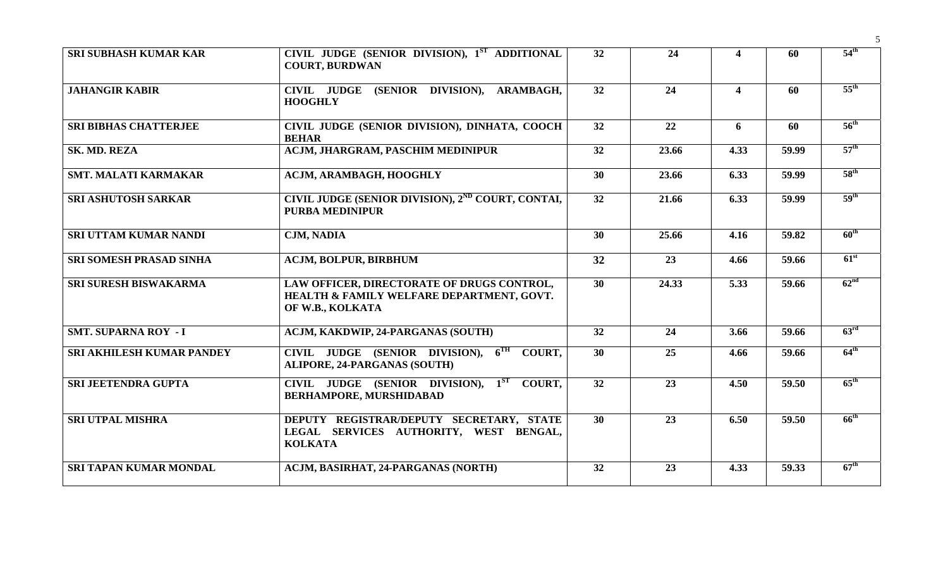| <b>SRI SUBHASH KUMAR KAR</b>   | CIVIL JUDGE (SENIOR DIVISION), 1ST ADDITIONAL<br><b>COURT, BURDWAN</b>                                      | 32              | 24    | $\overline{\mathbf{4}}$ | 60    | $54^{\text{th}}$ |
|--------------------------------|-------------------------------------------------------------------------------------------------------------|-----------------|-------|-------------------------|-------|------------------|
| <b>JAHANGIR KABIR</b>          | CIVIL JUDGE (SENIOR DIVISION), ARAMBAGH,<br><b>HOOGHLY</b>                                                  | 32              | 24    | $\overline{\mathbf{4}}$ | 60    | $55^{\text{th}}$ |
| <b>SRI BIBHAS CHATTERJEE</b>   | CIVIL JUDGE (SENIOR DIVISION), DINHATA, COOCH<br><b>BEHAR</b>                                               | 32              | 22    | 6                       | 60    | $56^{\text{th}}$ |
| SK. MD. REZA                   | <b>ACJM, JHARGRAM, PASCHIM MEDINIPUR</b>                                                                    | 32              | 23.66 | 4.33                    | 59.99 | $57^{\text{th}}$ |
| <b>SMT. MALATI KARMAKAR</b>    | ACJM, ARAMBAGH, HOOGHLY                                                                                     | 30              | 23.66 | 6.33                    | 59.99 | 58 <sup>th</sup> |
| <b>SRI ASHUTOSH SARKAR</b>     | CIVIL JUDGE (SENIOR DIVISION), 2 <sup>ND</sup> COURT, CONTAI,<br><b>PURBA MEDINIPUR</b>                     | 32              | 21.66 | 6.33                    | 59.99 | 59 <sup>th</sup> |
| SRI UTTAM KUMAR NANDI          | <b>CJM, NADIA</b>                                                                                           | 30              | 25.66 | 4.16                    | 59.82 | $60^{\text{th}}$ |
| <b>SRI SOMESH PRASAD SINHA</b> | <b>ACJM, BOLPUR, BIRBHUM</b>                                                                                | 32              | 23    | 4.66                    | 59.66 | $61^{\rm st}$    |
| <b>SRI SURESH BISWAKARMA</b>   | LAW OFFICER, DIRECTORATE OF DRUGS CONTROL,<br>HEALTH & FAMILY WELFARE DEPARTMENT, GOVT.<br>OF W.B., KOLKATA | $\overline{30}$ | 24.33 | 5.33                    | 59.66 | 62 <sup>nd</sup> |
| <b>SMT. SUPARNA ROY - I</b>    | <b>ACJM, KAKDWIP, 24-PARGANAS (SOUTH)</b>                                                                   | 32              | 24    | 3.66                    | 59.66 | 63 <sup>rd</sup> |
| SRI AKHILESH KUMAR PANDEY      | CIVIL JUDGE (SENIOR DIVISION), 6TH COURT,<br><b>ALIPORE, 24-PARGANAS (SOUTH)</b>                            | 30              | 25    | 4.66                    | 59.66 | $64^{\text{th}}$ |
| <b>SRI JEETENDRA GUPTA</b>     | CIVIL JUDGE (SENIOR DIVISION), 1 <sup>ST</sup> COURT,<br><b>BERHAMPORE, MURSHIDABAD</b>                     | 32              | 23    | 4.50                    | 59.50 | $65^{\text{th}}$ |
| <b>SRI UTPAL MISHRA</b>        | DEPUTY REGISTRAR/DEPUTY SECRETARY, STATE<br>LEGAL SERVICES AUTHORITY, WEST BENGAL,<br><b>KOLKATA</b>        | 30 <sup>°</sup> | 23    | 6.50                    | 59.50 | $66^{\text{th}}$ |
| <b>SRI TAPAN KUMAR MONDAL</b>  | ACJM, BASIRHAT, 24-PARGANAS (NORTH)                                                                         | 32              | 23    | 4.33                    | 59.33 | $67^{\text{th}}$ |